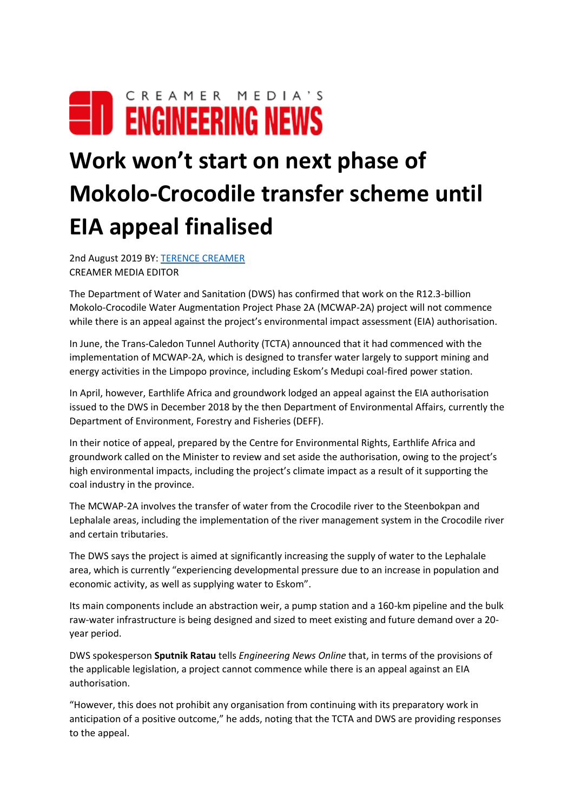## CREAMER MEDIA'S **EID ENGINEERING NEWS**

## **Work won't start on next phase of Mokolo-Crocodile transfer scheme until EIA appeal finalised**

2nd August 2019 BY: [TERENCE CREAMER](https://m.engineeringnews.co.za/author.php?u_id=13) CREAMER MEDIA EDITOR

The Department of Water and Sanitation (DWS) has confirmed that work on the R12.3-billion Mokolo-Crocodile Water Augmentation Project Phase 2A (MCWAP-2A) project will not commence while there is an appeal against the project's environmental impact assessment (EIA) authorisation.

In June, the Trans-Caledon Tunnel Authority (TCTA) announced that it had commenced with the implementation of MCWAP-2A, which is designed to transfer water largely to support mining and energy activities in the Limpopo province, including Eskom's Medupi coal-fired power station.

In April, however, Earthlife Africa and groundwork lodged an appeal against the EIA authorisation issued to the DWS in December 2018 by the then Department of Environmental Affairs, currently the Department of Environment, Forestry and Fisheries (DEFF).

In their notice of appeal, prepared by the Centre for Environmental Rights, Earthlife Africa and groundwork called on the Minister to review and set aside the authorisation, owing to the project's high environmental impacts, including the project's climate impact as a result of it supporting the coal industry in the province.

The MCWAP-2A involves the transfer of water from the Crocodile river to the Steenbokpan and Lephalale areas, including the implementation of the river management system in the Crocodile river and certain tributaries.

The DWS says the project is aimed at significantly increasing the supply of water to the Lephalale area, which is currently "experiencing developmental pressure due to an increase in population and economic activity, as well as supplying water to Eskom".

Its main components include an abstraction weir, a pump station and a 160-km pipeline and the bulk raw-water infrastructure is being designed and sized to meet existing and future demand over a 20 year period.

DWS spokesperson **Sputnik Ratau** tells *Engineering News Online* that, in terms of the provisions of the applicable legislation, a project cannot commence while there is an appeal against an EIA authorisation.

"However, this does not prohibit any organisation from continuing with its preparatory work in anticipation of a positive outcome," he adds, noting that the TCTA and DWS are providing responses to the appeal.